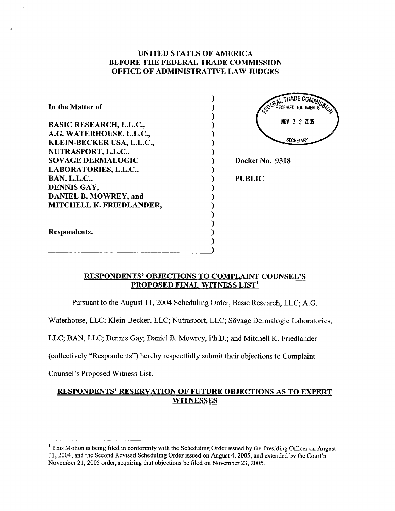## UNITED STATES OF AMERICA BEFORE THE FEDERAL TRADE COMMISSION OFFICE OF ADMINISTRATIVE LAW JUDGES

 $\mathcal{E}$ 

λ

AL TRADE COMM RECEIVED DOCUMENTS NOV 2 3 2005 SECRETARY Docket No. 9318 PUBLIC

Respondents.

 $\cdot$ 

 $\mathbf{r}$ 

#### RESPONDENTS' OBJECTIONS TO COMPLAINT COUNSEL' PROPOSED FINAL WITNESS LIST

Pursuant to the August 11, 2004 Scheduling Order, Basic Research, LLC; A.G.

Waterhouse, LLC; Klein-Becker, LLC; Nutrasport, LLC; Sövage Dermalogic Laboratories,

LLC; BAN, LLC; Dennis Gay; Daniel B. Mowrey, Ph.D.; and Mitchell K. Friedlander

(collectively "Respondents") hereby respectfully submit their objections to Complaint

Counsel's Proposed Witness List.

## RESPONDENTS' RESERVATION OF FUTURE OBJECTIONS AS TO EXPERT WITNESSES

<sup>&</sup>lt;sup>1</sup> This Motion is being filed in conformity with the Scheduling Order issued by the Presiding Officer on August 11, 2004, and the Second Revised Scheduling Order issued on August 4, 2005, and extended by the Court's November 21, 2005 order, requiring that objections be filed on November 23, 2005.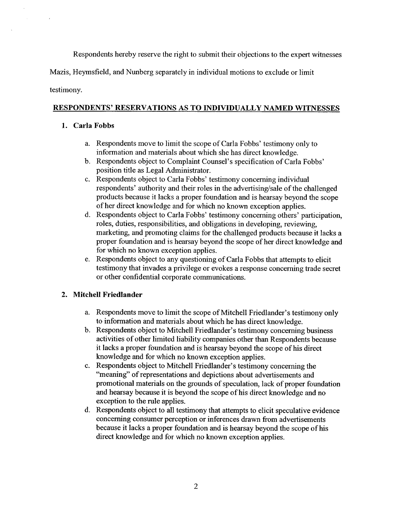Respondents hereby reserve the right to submit their objections to the expert witnesses

Mazis, Heymsfield, and Nunberg separately in individual motions to exclude or limit

testimony.

## RESPONDENTS' RESERVATIONS AS TO INDIVIDUALLY NAMED WITNESSES

## 1. Carla Fobbs

- a. Respondents move to limit the scope of Carla Fobbs' testimony only to information and materials about which she has direct knowledge.
- b. Respondents object to Complaint Counsel's specification of Carla Fobbs position title as Legal Administrator.
- c. Respondents object to Carla Fobbs' testimony concerning individual respondents' authority and their roles in the advertising/sale of the challenged products because it lacks a proper foundation and is hearsay beyond the scope of her direct knowledge and for which no known exception applies.
- d. Respondents object to Carla Fobbs' testimony concerning others' participation, roles, duties, responsibilities, and obligations in developing, reviewing, marketing, and promoting claims for the challenged products because it lacks a proper foundation and is hearsay beyond the scope of her direct knowledge and for which no known exception applies.
- e. Respondents object to any questioning of Carla Fobbs that attempts to elicit testimony that invades a privilege or evokes a response concerning trade secret or other confidential corporate communications.

# 2. Mitchell Friedlander

- a. Respondents move to limit the scope of Mitchell Friedlander's testimony only to infonnation and materials about which he has direct knowledge.
- b. Respondents object to Mitchell Friedlander's testimony concerning business activities of other limited liability companies other than Respondents because it lacks a proper foundation and is hearsay beyond the scope of his direct knowledge and for which no known exception applies.
- c. Respondents object to Mitchell Friedlander's testimony concerning the meaning" of representations and depictions about advertisements and promotional materials on the grounds of speculation, lack of proper foundation and hearsay because it is beyond the scope of his direct knowledge and no exception to the rule applies.
- d. Respondents object to all testimony that attempts to elicit speculative evidence concerning consumer perception or inferences drawn ftom advertisements because it lacks a proper foundation and is hearsay beyond the scope of his direct knowledge and for which no known exception applies.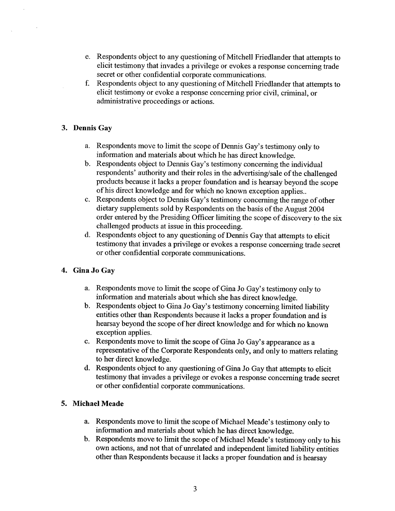- e. Respondents object to any questioning of Mitchell Friedlander that attempts to elicit testimony that invades a privilege or evokes a response concerning trade secret or other confidential corporate communications.
- f. Respondents object to any questioning of Mitchell Friedlander that attempts to elicit testimony or evoke a response concerning prior civil, crminal, or administrative proceedings or actions.

## 3. Dennis Gay

- a. Respondents move to limit the scope of Dennis Gay's testimony only to information and materials about which he has direct knowledge.
- b. Respondents object to Dennis Gay's testimony concerning the individual respondents' authority and their roles in the advertising/sale of the challenged products because it lacks a proper foundation and is hearsay beyond the scope of his direct knowledge and for which no known exception applies..
- c. Respondents object to Dennis Gay s testimony concerning the range of other dietary supplements sold by Respondents on the basis of the August 2004 order entered by the Presiding Officer limiting the scope of discovery to the six challenged products at issue in this proceeding.
- d. Respondents object to any questioning of Dennis Gay that attempts to elicit testimony that invades a privilege or evokes a response concerning trade secret or other confidential corporate communications.

## 4. Gina Jo Gay

- a. Respondents move to limit the scope of Gina Jo Gay s testimony only to information and materials about which she has direct knowledge.
- b. Respondents object to Gina Jo Gay's testimony concerning limited liability entities other than Respondents because it lacks a proper foundation and is hearsay beyond the scope of her direct knowledge and for which no known exception applies.
- c. Respondents move to limit the scope of Gina Jo Gay s appearance as a representative of the Corporate Respondents only, and only to matters relating to her direct knowledge.
- d. Respondents object to any questioning of Gina Jo Gay that attempts to elicit testimony that invades a privilege or evokes a response concerning trade secret or other confidential corporate communications.

## 5. Michael Meade

- a. Respondents move to limit the scope of Michael Meade's testimony only to information and materials about which he has direct knowledge.
- b. Respondents move to limit the scope of Michael Meade's testimony only to his own actions, and not that of unelated and independent limited liability entities other than Respondents because it lacks a proper foundation and is hearsay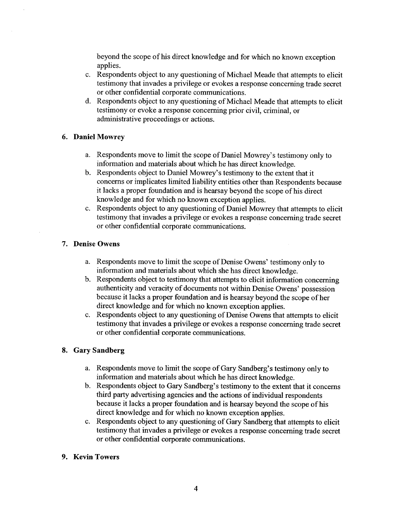beyond the scope of his direct knowledge and for which no known exception applies.

- c. Respondents object to any questioning of Michael Meade that attempts to elicit testimony that invades a privilege or evokes a response concerning trade secret or other confidential corporate communications.
- d. Respondents object to any questioning of Michael Meade that attempts to elicit testimony or evoke a response concerning prior civil, criminal, or administrative proceedings or actions.

## 6. Daniel Mowrey

- a. Respondents move to limit the scope of Daniel Mowrey's testimony only to information and materials about which he has direct knowledge.
- b. Respondents object to Daniel Mowrey's testimony to the extent that it concerns or implicates limited liability entities other than Respondents because it lacks a proper foundation and is hearsay beyond the scope of his direct knowledge and for which no known exception applies.
- c. Respondents object to any questioning of Daniel Mowrey that attempts to elicit testimony that invades a privilege or evokes a response concerning trade secret or other confidential corporate communications.

## 7. Denise Owens

- a. Respondents move to limit the scope of Denise Owens' testimony only to information and materials about which she has direct knowledge.
- b. Respondents object to testimony that attempts to elicit information concerning authenticity and veracity of documents not within Denise Owens' possession because it lacks a proper foundation and is hearsay beyond the scope of her direct knowledge and for which no known exception applies.
- c. Respondents object to any questioning of Denise Owens that attempts to elicit testimony that invades a privilege or evokes a response concerning trade secret or other confidential corporate communications.

# 8. Gary Sandberg

- a. Respondents move to limit the scope of Gary Sandberg's testimony only to information and materials about which he has direct knowledge.
- b. Respondents object to Gary Sandberg's testimony to the extent that it concerns third party advertising agencies and the actions of individual respondents because it lacks a proper foundation and is hearsay beyond the scope of his direct knowledge and for which no known exception applies.
- c. Respondents object to any questioning of Gary Sandberg that attempts to elicit testimony that invades a privilege or evokes a response concerning trade secret or other confidential corporate communications.
- 9. Kevin Towers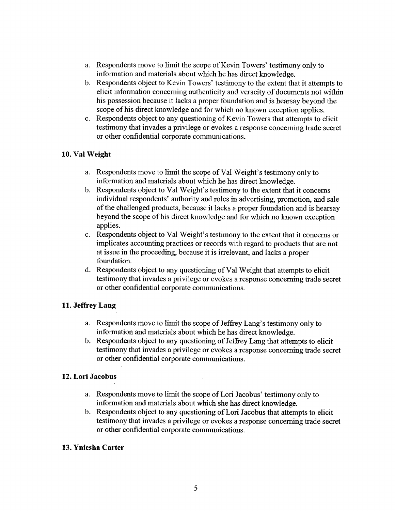- a. Respondents move to limit the scope of Kevin Towers' testimony only to information and materials about which he has direct knowledge.
- b. Respondents object to Kevin Towers' testimony to the extent that it attempts to elicit infonnation concerning authenticity and veracity of documents not within his possession because it lacks a proper foundation and is hearsay beyond the scope of his direct knowledge and for which no known exception applies.
- c. Respondents object to any questioning of Kevin Towers that attempts to elicit testimony that invades a privilege or evokes a response concerning trade secret or other confidential corporate communications.

## 10. Val Weight

- a. Respondents move to limit the scope of Val Weight's testimony only to information and materials about which he has direct knowledge.
- b. Respondents object to Val Weight's testimony to the extent that it concerns individual respondents' authority and roles in advertising, promotion, and sale of the challenged products, because it lacks a proper foundation and is hearsay beyond the scope of his direct knowledge and for which no known exception applies.
- c. Respondents object to Val Weight's testimony to the extent that it concerns or implicates accounting practices or records with regard to products that are not at issue in the proceeding, because it is irrelevant, and lacks a proper foundation.
- d. Respondents object to any questioning of Val Weight that attempts to elicit testimony that invades a privilege or evokes a response concerning trade secret or other confidential corporate communications.

## 11. Jeffrey Lang

- a. Respondents move to limit the scope of Jeffrey Lang's testimony only to information and materials about which he has direct knowledge.
- b. Respondents object to any questioning of Jeffrey Lang that attempts to elicit testimony that invades a privilege or evokes a response concerning trade secret or other confidential corporate communications.

## 12. Lori Jacobus

- a. Respondents move to limit the scope of Lori Jacobus' testimony only to information and materials about which she has direct knowledge.
- b. Respondents object to any questioning of Lori Jacobus that attempts to elicit testimony that invades a privilege or evokes a response concerning trade secret or other confidential corporate communications.

## 13. Ynicsha Carter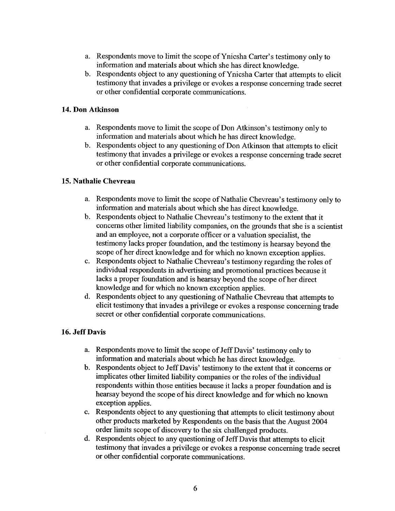- a. Respondents move to limit the scope of Ynicsha Carter's testimony only to information and materials about which she has direct knowledge.
- b. Respondents object to any questioning of Ynicsha Carter that attempts to elicit testimony that invades a privilege or evokes a response concerning trade secret or other confidential corporate communications.

#### 14. Don Atkinson

- a. Respondents move to limit the scope of Don Atkinson's testimony only to information and materials about which he has direct knowledge.
- b. Respondents object to any questioning of Don Atkinson that attempts to elicit testimony that invades a privilege or evokes a response concerning trade secret or other confidential corporate communications.

## 15. Nathalie Chevreau

- a. Respondents move to limit the scope of Nathalie Chevreau's testimony only to information and materials about which she has direct knowledge.
- b. Respondents object to Nathalie Chevreau's testimony to the extent that it concerns other limited liability companies, on the grounds that she is a scientist and an employee, not a corporate officer or a valuation specialist, the testimony lacks proper foundation, and the testimony is hearsay beyond the scope of her direct knowledge and for which no known exception applies.
- c. Respondents object to Nathalie Chevreau's testimony regarding the roles of individual respondents in advertising and promotional practices because it lacks a proper foundation and is hearsay beyond the scope of her direct knowledge and for which no known exception applies.
- d. Respondents object to any questioning of Nathalie Chevreau that attempts to elicit testimony that invades a privilege or evokes a response concerning trade secret or other confidential corporate communications.

## 16. Jeff Davis

- a. Respondents move to limit the scope of Jeff Davis' testimony only to information and materials about which he has direct knowledge.
- b. Respondents object to Jeff Davis' testimony to the extent that it concerns or implicates other limited liability companies or the roles of the individual respondents within those entities because it lacks a proper foundation and is hearsay beyond the scope of his direct knowledge and for which no known exception applies.
- c. Respondents object to any questioning that attempts to elicit testimony about other products marketed by Respondents on the basis that the August 2004 order limits scope of discovery to the six challenged products.
- d. Respondents object to any questioning of Jeff Davis that attempts to elicit testimony that invades a privilege or evokes a response concerning trade secret or other confidential corporate communications.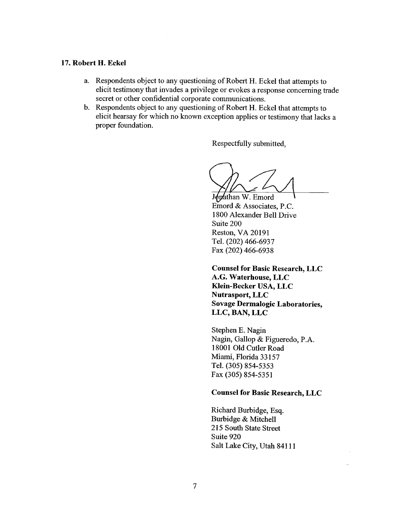#### 17. Robert H. Eckel

- a. Respondents object to any questioning of Robert H. Eckel that attempts to elicit testimony that invades a privilege or evokes a response concerning trade secret or other confidential corporate communications.
- b. Respondents object to any questioning of Robert H. Eckel that attempts to elicit hearsay for which no known exception applies or testimony that lacks a proper foundation.

Respectfully submitted

Jonathan W. Emord Emord & Associates, P. 1800 Alexander Bell Drive Suite 200 Reston, VA 20191 Tel. (202) 466-6937 Fax (202) 466-6938

Counsel for Basic Research, LLC G. Waterhouse, LLC Klein-Becker USA, LLC Nutrasport, LLC Sovage Dermalogic Laboratories LLC, BAN, LLC

Stephen E. Nagin Nagin, Gallop & Figueredo, P. 18001 Old Cutler Road Miami, Florida 33157 Tel. (305) 854-5353 Fax (305) 854-5351

#### Counsel for Basic Research, LLC

Richard Burbidge, Esq. Burbidge & Mitchell 215 South State Street Suite 920 Salt Lake City, Utah 84111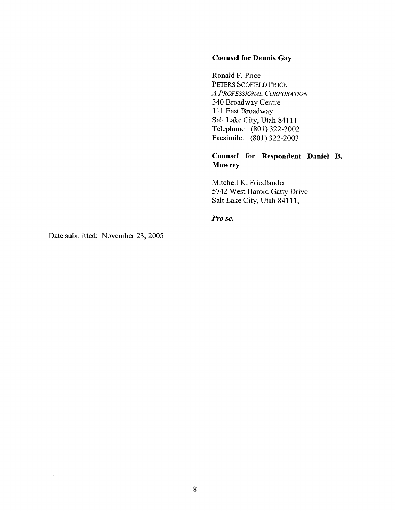## Counsel for Dennis Gay

Ronald F. Price PETERS SCOFIELD PRICE A PROFESSIONAL CORPORATION 340 Broadway Centre <sup>111</sup>East Broadway Salt Lake City, Utah 84111 Telephone: (801) 322-2002 Facsimile: (801) 322-2003

## Counsel for Respondent Daniel B. **Mowrey**

Mitchell K. Friedlander 5742 West Harold Gatty Drive Salt Lake City, Utah 84111

Pro se.

Date submitted: November 23, 2005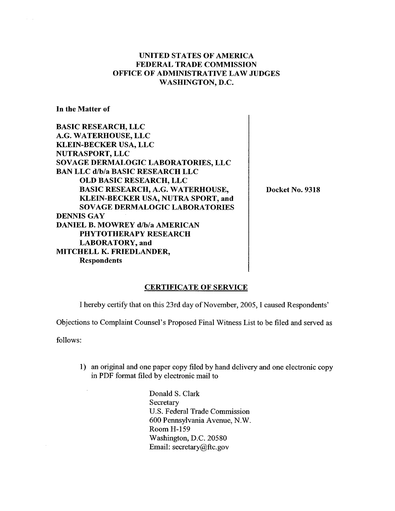## UNITED STATES OF AMERICA FEDERAL TRADE COMMISSION OFFICE OF ADMINISTRATIVE LAW JUDGES WASHINGTON, D.

In the Matter of

BASIC RESEARCH, LLC G. WATERHOUSE, LLC KLEIN-BECKER USA, LLC NUTRASPORT, LLC SOVAGE DERMALOGIC LABORATORIES, LLC BAN LLC d/b/a BASIC RESEARCH LLC OLD BASIC RESEARCH, LLC BASIC RESEARCH, A.G. WATERHOUSE KLEIN-BECKER USA, NUTRA SPORT, and SOVAGE DERMALOGIC LABORATORIES DENNIS GAY DANIEL B. MOWREY d/b/a AMERICAN PHYTOTHERAPY RESEARCH LABORATORY, and MITCHELL K. FRIEDLANDER Respondents

Docket No. 9318

## CERTIFICATE OF SERVICE

I hereby certify that on this 23rd day of November, 2005, I caused Respondents

Objections to Complaint Counsel's Proposed Final Witness List to be filed and served as

follows:

1) an original and one paper copy fied by hand delivery and one electronic copy in PDF fonnat filed by electronic mail to

> Donald S. Clark Secretary U.S. Federal Trade Commission 600 Pennsylvania Avenue, N. Room H-159 Washington, D.C. 20580 Email: secretary@ftc.gov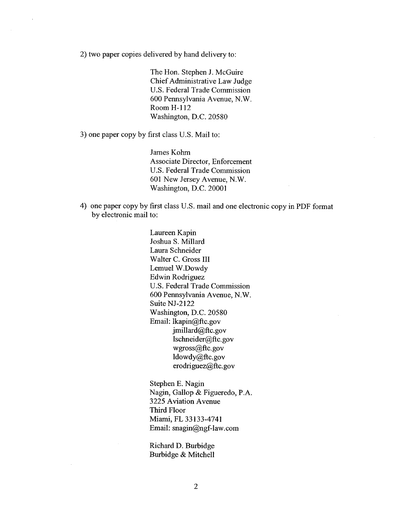2) two paper copies delivered by hand delivery to:

The Hon. Stephen J. McGuire Chief Administrative Law Judge U.S. Federal Trade Commission 600 Pennsylvania Avenue, N. Room H-ll2 Washington, D.C. 20580

3) one paper copy by first class U.S. Mail to:

James Kohm Associate Director, Enforcement U.S. Federal Trade Commission 601 New Jersey Avenue, N. Washington, D.C. 20001

4) one paper copy by first class U.S. mail and one electronic copy in PDF format by electronic mail to:

> Laureen Kapin Joshua S. Milard Laura Schneider Walter C. Gross III Lemuel W.Dowdy Edwin Rodriguez U.S. Federal Trade Commission 600 Pennsylvania Avenue, N. Suite NJ-2122 Washington, D.C. 20580 Email: lkapin@ftc.gov jmillard@ftc.gov lschneider@ftc.gov wgross@ftc.gov ldowdy@ftc.gov erodriguez@ftc.gov

Stephen E. Nagin Nagin, Gallop & Figueredo, P. 3225 Aviation Avenue Third Floor Miami, FL 33133-4741 Email: snagin@ngf-law.com

Richard D. Burbidge Burbidge & Mitchell